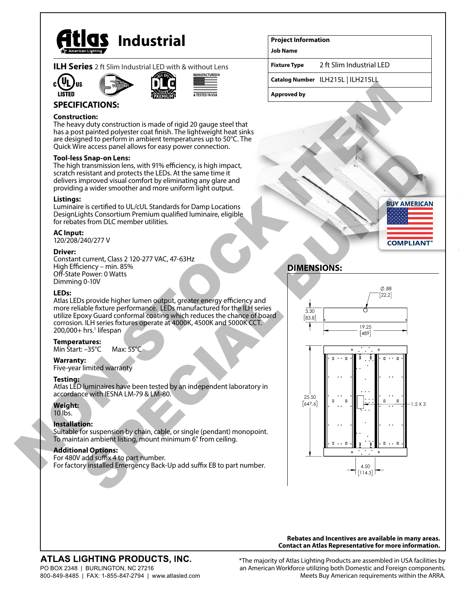

|  |  | <b>ILH Series</b> 2 ft Slim Industrial LED with & without Lens |
|--|--|----------------------------------------------------------------|
|  |  |                                                                |









## **SPECIFICATIONS:**

## **Construction:**

The heavy duty construction is made of rigid 20 gauge steel that has a post painted polyester coat finish. The lightweight heat sinks are designed to perform in ambient temperatures up to 50°C. The Quick Wire access panel allows for easy power connection.

## **Tool-less Snap-on Lens:**

The high transmission lens, with 91% efficiency, is high impact, scratch resistant and protects the LEDs. At the same time it delivers improved visual comfort by eliminating any glare and providing a wider smoother and more uniform light output.

## **Listings:**

Luminaire is certified to UL/cUL Standards for Damp Locations DesignLights Consortium Premium qualified luminaire, eligible for rebates from DLC member utilities.

#### **AC Input:**

120/208/240/277 V

#### **Driver:**

Constant current, Class 2 120-277 VAC, 47-63Hz High Efficiency – min. 85% Off-State Power: 0 Watts Dimming 0-10V

### **LEDs:**

Atlas LEDs provide higher lumen output, greater energy efficiency and more reliable fixture performance. LEDs manufactured for the ILH series utilize Epoxy Guard conformal coating which reduces the chance of board corrosion. ILH series fixtures operate at 4000K, 4500K and 5000K CCT. 200,000+ hrs.<sup>1</sup> lifespan

#### **Temperatures:**

Min Start: –35°C Max: 55°C

### **Warranty:**

Five-year limited warranty

#### **Testing:**

Atlas LED luminaires have been tested by an independent laboratory in accordance with IESNA LM-79 & LM-80.

## **Weight:**

10 lbs.

## **Installation:**

Suitable for suspension by chain, cable, or single (pendant) monopoint. To maintain ambient listing, mount minimum 6" from ceiling.

#### **Additional Options:**

For 480V add suffix 4 to part number. For factory installed Emergency Back-Up add suffix EB to part number.

## **Project Information**

**Job Name**

**Fixture Type** 2 ft Slim Industrial LED

**Catalog Number** ILH215L | ILH215LL

**Approved by**



# **DIMENSIONS:**



**Rebates and Incentives are available in many areas. Contact an Atlas Representative for more information.**

# **ATLAS LIGHTING PRODUCTS, INC.**

PO BOX 2348 | BURLINGTON, NC 27216 800-849-8485 | FAX: 1-855-847-2794 | www.atlasled.com \*The majority of Atlas Lighting Products are assembled in USA facilities by an American Workforce utilizing both Domestic and Foreign components. Meets Buy American requirements within the ARRA.